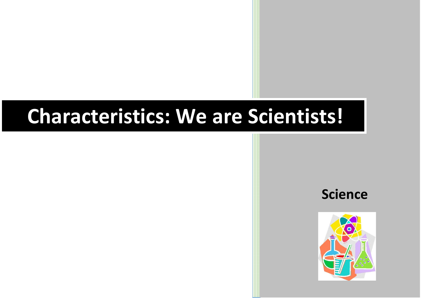## **Characteristics: We are Scientists!**



**Science**